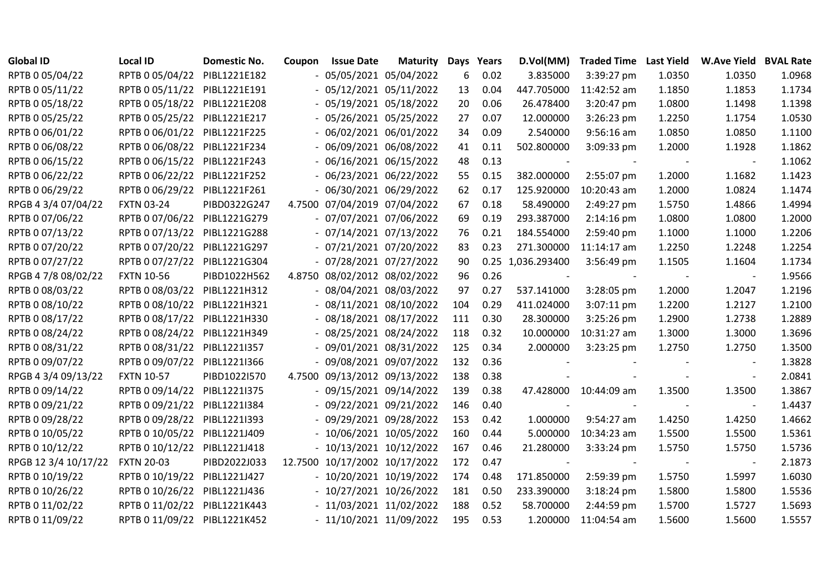| <b>Global ID</b>     | <b>Local ID</b>              | <b>Domestic No.</b> | Coupon | <b>Issue Date</b>             | <b>Maturity</b> | Days | Years | D.Vol(MM)    | <b>Traded Time</b> | <b>Last Yield</b> | <b>W.Ave Yield</b> | <b>BVAL Rate</b> |
|----------------------|------------------------------|---------------------|--------|-------------------------------|-----------------|------|-------|--------------|--------------------|-------------------|--------------------|------------------|
| RPTB 0 05/04/22      | RPTB 0 05/04/22              | PIBL1221E182        |        | $-05/05/2021$ 05/04/2022      |                 | 6    | 0.02  | 3.835000     | 3:39:27 pm         | 1.0350            | 1.0350             | 1.0968           |
| RPTB 0 05/11/22      | RPTB 0 05/11/22 PIBL1221E191 |                     |        | $-05/12/2021$ 05/11/2022      |                 | 13   | 0.04  | 447.705000   | 11:42:52 am        | 1.1850            | 1.1853             | 1.1734           |
| RPTB 0 05/18/22      | RPTB 0 05/18/22              | PIBL1221E208        |        | - 05/19/2021 05/18/2022       |                 | 20   | 0.06  | 26.478400    | 3:20:47 pm         | 1.0800            | 1.1498             | 1.1398           |
| RPTB 0 05/25/22      | RPTB 0 05/25/22              | PIBL1221E217        |        | $-05/26/2021$ 05/25/2022      |                 | 27   | 0.07  | 12.000000    | 3:26:23 pm         | 1.2250            | 1.1754             | 1.0530           |
| RPTB 0 06/01/22      | RPTB 0 06/01/22              | PIBL1221F225        |        | $-06/02/202106/01/2022$       |                 | 34   | 0.09  | 2.540000     | $9:56:16$ am       | 1.0850            | 1.0850             | 1.1100           |
| RPTB 0 06/08/22      | RPTB 0 06/08/22              | PIBL1221F234        |        | $-06/09/202106/08/2022$       |                 | 41   | 0.11  | 502.800000   | 3:09:33 pm         | 1.2000            | 1.1928             | 1.1862           |
| RPTB 0 06/15/22      | RPTB 0 06/15/22 PIBL1221F243 |                     |        | $-06/16/202106/15/2022$       |                 | 48   | 0.13  |              |                    |                   |                    | 1.1062           |
| RPTB 0 06/22/22      | RPTB 0 06/22/22              | PIBL1221F252        |        | $-06/23/2021$ 06/22/2022      |                 | 55   | 0.15  | 382.000000   | 2:55:07 pm         | 1.2000            | 1.1682             | 1.1423           |
| RPTB 0 06/29/22      | RPTB 0 06/29/22 PIBL1221F261 |                     |        | $-06/30/202106/29/2022$       |                 | 62   | 0.17  | 125.920000   | 10:20:43 am        | 1.2000            | 1.0824             | 1.1474           |
| RPGB 4 3/4 07/04/22  | <b>FXTN 03-24</b>            | PIBD0322G247        |        | 4.7500 07/04/2019 07/04/2022  |                 | 67   | 0.18  | 58.490000    | 2:49:27 pm         | 1.5750            | 1.4866             | 1.4994           |
| RPTB 0 07/06/22      | RPTB 0 07/06/22              | PIBL1221G279        |        | - 07/07/2021 07/06/2022       |                 | 69   | 0.19  | 293.387000   | 2:14:16 pm         | 1.0800            | 1.0800             | 1.2000           |
| RPTB 0 07/13/22      | RPTB 0 07/13/22              | PIBL1221G288        |        | $-07/14/2021$ $07/13/2022$    |                 | 76   | 0.21  | 184.554000   | 2:59:40 pm         | 1.1000            | 1.1000             | 1.2206           |
| RPTB 0 07/20/22      | RPTB 0 07/20/22              | PIBL1221G297        |        | $-07/21/2021$ $07/20/2022$    |                 | 83   | 0.23  | 271.300000   | $11:14:17$ am      | 1.2250            | 1.2248             | 1.2254           |
| RPTB 0 07/27/22      | RPTB 0 07/27/22 PIBL1221G304 |                     |        | - 07/28/2021 07/27/2022       |                 | 90   | 0.25  | 1,036.293400 | 3:56:49 pm         | 1.1505            | 1.1604             | 1.1734           |
| RPGB 4 7/8 08/02/22  | <b>FXTN 10-56</b>            | PIBD1022H562        |        | 4.8750 08/02/2012 08/02/2022  |                 | 96   | 0.26  |              |                    |                   |                    | 1.9566           |
| RPTB 0 08/03/22      | RPTB 0 08/03/22              | PIBL1221H312        |        | $-08/04/202108/03/2022$       |                 | 97   | 0.27  | 537.141000   | 3:28:05 pm         | 1.2000            | 1.2047             | 1.2196           |
| RPTB 0 08/10/22      | RPTB 0 08/10/22              | PIBL1221H321        |        | $-08/11/2021$ 08/10/2022      |                 | 104  | 0.29  | 411.024000   | 3:07:11 pm         | 1.2200            | 1.2127             | 1.2100           |
| RPTB 0 08/17/22      | RPTB 0 08/17/22              | PIBL1221H330        |        | $-08/18/2021$ 08/17/2022      |                 | 111  | 0.30  | 28.300000    | 3:25:26 pm         | 1.2900            | 1.2738             | 1.2889           |
| RPTB 0 08/24/22      | RPTB 0 08/24/22              | PIBL1221H349        |        | - 08/25/2021 08/24/2022       |                 | 118  | 0.32  | 10.000000    | 10:31:27 am        | 1.3000            | 1.3000             | 1.3696           |
| RPTB 0 08/31/22      | RPTB 0 08/31/22              | PIBL1221I357        |        | $-09/01/202108/31/2022$       |                 | 125  | 0.34  | 2.000000     | $3:23:25$ pm       | 1.2750            | 1.2750             | 1.3500           |
| RPTB 0 09/07/22      | RPTB 0 09/07/22 PIBL1221I366 |                     |        | - 09/08/2021 09/07/2022       |                 | 132  | 0.36  |              |                    |                   |                    | 1.3828           |
| RPGB 4 3/4 09/13/22  | <b>FXTN 10-57</b>            | PIBD1022I570        |        | 4.7500 09/13/2012 09/13/2022  |                 | 138  | 0.38  |              |                    |                   |                    | 2.0841           |
| RPTB 0 09/14/22      | RPTB 0 09/14/22              | PIBL1221I375        |        | - 09/15/2021 09/14/2022       |                 | 139  | 0.38  | 47.428000    | 10:44:09 am        | 1.3500            | 1.3500             | 1.3867           |
| RPTB 0 09/21/22      | RPTB 0 09/21/22              | PIBL1221I384        |        | $-09/22/202109/21/2022$       |                 | 146  | 0.40  |              |                    |                   |                    | 1.4437           |
| RPTB 0 09/28/22      | RPTB 0 09/28/22              | PIBL1221I393        |        | $-09/29/202109/28/2022$       |                 | 153  | 0.42  | 1.000000     | 9:54:27 am         | 1.4250            | 1.4250             | 1.4662           |
| RPTB 0 10/05/22      | RPTB 0 10/05/22              | PIBL1221J409        |        | - 10/06/2021 10/05/2022       |                 | 160  | 0.44  | 5.000000     | 10:34:23 am        | 1.5500            | 1.5500             | 1.5361           |
| RPTB 0 10/12/22      | RPTB 0 10/12/22              | PIBL1221J418        |        | $-10/13/2021$ $10/12/2022$    |                 | 167  | 0.46  | 21.280000    | 3:33:24 pm         | 1.5750            | 1.5750             | 1.5736           |
| RPGB 12 3/4 10/17/22 | <b>FXTN 20-03</b>            | PIBD2022J033        |        | 12.7500 10/17/2002 10/17/2022 |                 | 172  | 0.47  |              |                    |                   |                    | 2.1873           |
| RPTB 0 10/19/22      | RPTB 0 10/19/22              | PIBL1221J427        |        | - 10/20/2021 10/19/2022       |                 | 174  | 0.48  | 171.850000   | 2:59:39 pm         | 1.5750            | 1.5997             | 1.6030           |
| RPTB 0 10/26/22      | RPTB 0 10/26/22              | PIBL1221J436        |        | $-10/27/2021$ $10/26/2022$    |                 | 181  | 0.50  | 233.390000   | 3:18:24 pm         | 1.5800            | 1.5800             | 1.5536           |
| RPTB 0 11/02/22      | RPTB 0 11/02/22 PIBL1221K443 |                     |        | $-11/03/2021$ $11/02/2022$    |                 | 188  | 0.52  | 58.700000    | 2:44:59 pm         | 1.5700            | 1.5727             | 1.5693           |
| RPTB 0 11/09/22      | RPTB 0 11/09/22 PIBL1221K452 |                     |        | $-11/10/2021$ $11/09/2022$    |                 | 195  | 0.53  | 1.200000     | 11:04:54 am        | 1.5600            | 1.5600             | 1.5557           |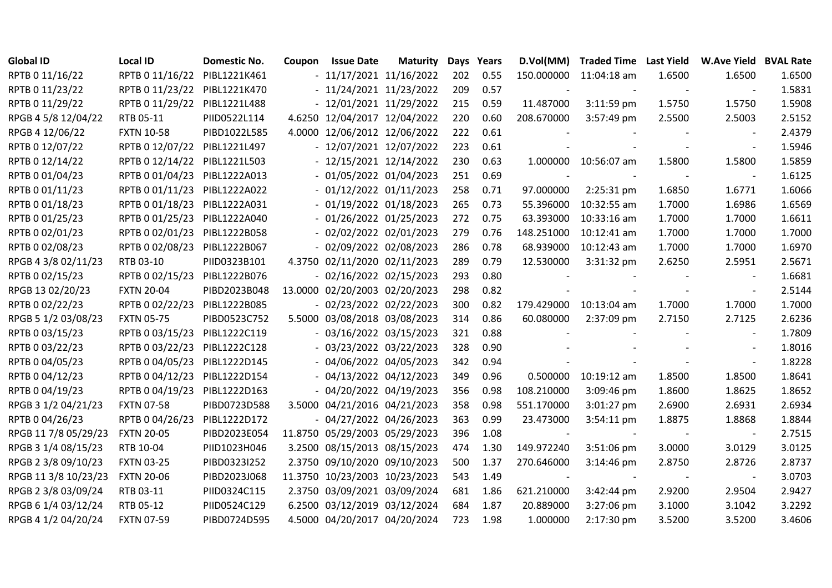| <b>Global ID</b>     | <b>Local ID</b>              | <b>Domestic No.</b> | Coupon | <b>Issue Date</b>             | <b>Maturity</b> | <b>Days</b> | Years | D.Vol(MM)  | <b>Traded Time Last Yield</b> |        | <b>W.Ave Yield BVAL Rate</b> |        |
|----------------------|------------------------------|---------------------|--------|-------------------------------|-----------------|-------------|-------|------------|-------------------------------|--------|------------------------------|--------|
| RPTB 0 11/16/22      | RPTB 0 11/16/22              | PIBL1221K461        |        | $-11/17/2021$ 11/16/2022      |                 | 202         | 0.55  |            | 150.000000 11:04:18 am        | 1.6500 | 1.6500                       | 1.6500 |
| RPTB 0 11/23/22      | RPTB 0 11/23/22 PIBL1221K470 |                     |        | $-11/24/2021$ $11/23/2022$    |                 | 209         | 0.57  |            |                               |        |                              | 1.5831 |
| RPTB 0 11/29/22      | RPTB 0 11/29/22              | PIBL1221L488        |        | $-12/01/2021$ $11/29/2022$    |                 | 215         | 0.59  | 11.487000  | $3:11:59$ pm                  | 1.5750 | 1.5750                       | 1.5908 |
| RPGB 4 5/8 12/04/22  | RTB 05-11                    | PIID0522L114        |        | 4.6250 12/04/2017 12/04/2022  |                 | 220         | 0.60  | 208.670000 | 3:57:49 pm                    | 2.5500 | 2.5003                       | 2.5152 |
| RPGB 4 12/06/22      | <b>FXTN 10-58</b>            | PIBD1022L585        | 4.0000 | 12/06/2012 12/06/2022         |                 | 222         | 0.61  |            |                               |        |                              | 2.4379 |
| RPTB 0 12/07/22      | RPTB 0 12/07/22              | PIBL1221L497        |        | - 12/07/2021 12/07/2022       |                 | 223         | 0.61  |            |                               |        | $\blacksquare$               | 1.5946 |
| RPTB 0 12/14/22      | RPTB 0 12/14/22              | PIBL1221L503        |        | $-12/15/2021$ $12/14/2022$    |                 | 230         | 0.63  |            | 1.000000 10:56:07 am          | 1.5800 | 1.5800                       | 1.5859 |
| RPTB 0 01/04/23      | RPTB 0 01/04/23              | PIBL1222A013        |        | $-01/05/202201/04/2023$       |                 | 251         | 0.69  |            |                               |        |                              | 1.6125 |
| RPTB 0 01/11/23      | RPTB 0 01/11/23              | PIBL1222A022        |        | $-01/12/2022$ $01/11/2023$    |                 | 258         | 0.71  | 97.000000  | 2:25:31 pm                    | 1.6850 | 1.6771                       | 1.6066 |
| RPTB 0 01/18/23      | RPTB 0 01/18/23              | PIBL1222A031        |        | $-01/19/2022 01/18/2023$      |                 | 265         | 0.73  | 55.396000  | 10:32:55 am                   | 1.7000 | 1.6986                       | 1.6569 |
| RPTB 0 01/25/23      | RPTB 0 01/25/23              | PIBL1222A040        |        | $-01/26/2022 01/25/2023$      |                 | 272         | 0.75  | 63.393000  | 10:33:16 am                   | 1.7000 | 1.7000                       | 1.6611 |
| RPTB 0 02/01/23      | RPTB 0 02/01/23              | PIBL1222B058        |        | $-02/02/2022 02/01/2023$      |                 | 279         | 0.76  | 148.251000 | 10:12:41 am                   | 1.7000 | 1.7000                       | 1.7000 |
| RPTB 0 02/08/23      | RPTB 0 02/08/23              | PIBL1222B067        |        | $-02/09/2022 02/08/2023$      |                 | 286         | 0.78  | 68.939000  | 10:12:43 am                   | 1.7000 | 1.7000                       | 1.6970 |
| RPGB 4 3/8 02/11/23  | RTB 03-10                    | PIID0323B101        |        | 4.3750 02/11/2020 02/11/2023  |                 | 289         | 0.79  | 12.530000  | 3:31:32 pm                    | 2.6250 | 2.5951                       | 2.5671 |
| RPTB 0 02/15/23      | RPTB 0 02/15/23              | PIBL1222B076        |        | $-02/16/2022 02/15/2023$      |                 | 293         | 0.80  |            |                               |        |                              | 1.6681 |
| RPGB 13 02/20/23     | <b>FXTN 20-04</b>            | PIBD2023B048        |        | 13.0000 02/20/2003 02/20/2023 |                 | 298         | 0.82  |            |                               |        |                              | 2.5144 |
| RPTB 0 02/22/23      | RPTB 0 02/22/23              | PIBL1222B085        |        | $-02/23/2022 02/22/2023$      |                 | 300         | 0.82  | 179.429000 | $10:13:04$ am                 | 1.7000 | 1.7000                       | 1.7000 |
| RPGB 5 1/2 03/08/23  | <b>FXTN 05-75</b>            | PIBD0523C752        |        | 5.5000 03/08/2018 03/08/2023  |                 | 314         | 0.86  | 60.080000  | 2:37:09 pm                    | 2.7150 | 2.7125                       | 2.6236 |
| RPTB 0 03/15/23      | RPTB 0 03/15/23              | PIBL1222C119        |        | $-03/16/2022 03/15/2023$      |                 | 321         | 0.88  |            |                               |        |                              | 1.7809 |
| RPTB 0 03/22/23      | RPTB 0 03/22/23              | PIBL1222C128        |        | $-03/23/2022$ $03/22/2023$    |                 | 328         | 0.90  |            |                               |        |                              | 1.8016 |
| RPTB 0 04/05/23      | RPTB 0 04/05/23              | PIBL1222D145        |        | $-04/06/2022$ 04/05/2023      |                 | 342         | 0.94  |            |                               |        |                              | 1.8228 |
| RPTB 0 04/12/23      | RPTB 0 04/12/23              | PIBL1222D154        |        | $-04/13/2022$ $04/12/2023$    |                 | 349         | 0.96  | 0.500000   | 10:19:12 am                   | 1.8500 | 1.8500                       | 1.8641 |
| RPTB 0 04/19/23      | RPTB 0 04/19/23              | PIBL1222D163        |        | $-04/20/2022$ 04/19/2023      |                 | 356         | 0.98  | 108.210000 | 3:09:46 pm                    | 1.8600 | 1.8625                       | 1.8652 |
| RPGB 3 1/2 04/21/23  | <b>FXTN 07-58</b>            | PIBD0723D588        |        | 3.5000 04/21/2016 04/21/2023  |                 | 358         | 0.98  | 551.170000 | 3:01:27 pm                    | 2.6900 | 2.6931                       | 2.6934 |
| RPTB 0 04/26/23      | RPTB 0 04/26/23              | PIBL1222D172        |        | $-04/27/2022$ 04/26/2023      |                 | 363         | 0.99  | 23.473000  | 3:54:11 pm                    | 1.8875 | 1.8868                       | 1.8844 |
| RPGB 11 7/8 05/29/23 | <b>FXTN 20-05</b>            | PIBD2023E054        |        | 11.8750 05/29/2003 05/29/2023 |                 | 396         | 1.08  |            |                               |        |                              | 2.7515 |
| RPGB 3 1/4 08/15/23  | RTB 10-04                    | PIID1023H046        |        | 3.2500 08/15/2013 08/15/2023  |                 | 474         | 1.30  | 149.972240 | 3:51:06 pm                    | 3.0000 | 3.0129                       | 3.0125 |
| RPGB 2 3/8 09/10/23  | <b>FXTN 03-25</b>            | PIBD0323I252        |        | 2.3750 09/10/2020 09/10/2023  |                 | 500         | 1.37  | 270.646000 | 3:14:46 pm                    | 2.8750 | 2.8726                       | 2.8737 |
| RPGB 11 3/8 10/23/23 | <b>FXTN 20-06</b>            | PIBD2023J068        |        | 11.3750 10/23/2003 10/23/2023 |                 | 543         | 1.49  |            |                               |        | $\overline{\phantom{a}}$     | 3.0703 |
| RPGB 2 3/8 03/09/24  | RTB 03-11                    | PIID0324C115        |        | 2.3750 03/09/2021 03/09/2024  |                 | 681         | 1.86  | 621.210000 | 3:42:44 pm                    | 2.9200 | 2.9504                       | 2.9427 |
| RPGB 6 1/4 03/12/24  | RTB 05-12                    | PIID0524C129        |        | 6.2500 03/12/2019 03/12/2024  |                 | 684         | 1.87  | 20.889000  | 3:27:06 pm                    | 3.1000 | 3.1042                       | 3.2292 |
| RPGB 4 1/2 04/20/24  | <b>FXTN 07-59</b>            | PIBD0724D595        |        | 4.5000 04/20/2017 04/20/2024  |                 | 723         | 1.98  | 1.000000   | 2:17:30 pm                    | 3.5200 | 3.5200                       | 3.4606 |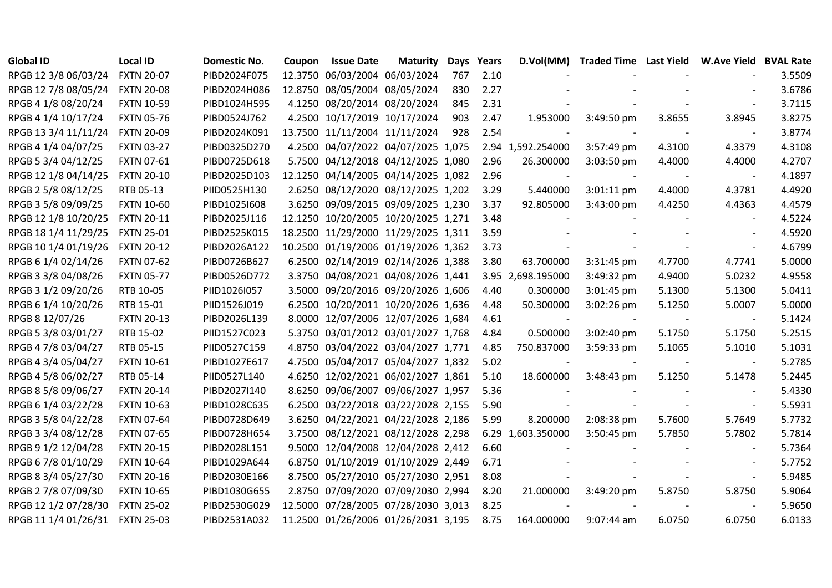| <b>Global ID</b>     | <b>Local ID</b>   | <b>Domestic No.</b> | Coupon | <b>Issue Date</b>                   | <b>Maturity</b> | Days | Years |                   | D.Vol(MM) Traded Time Last Yield W.Ave Yield BVAL Rate |        |                          |        |
|----------------------|-------------------|---------------------|--------|-------------------------------------|-----------------|------|-------|-------------------|--------------------------------------------------------|--------|--------------------------|--------|
| RPGB 12 3/8 06/03/24 | <b>FXTN 20-07</b> | PIBD2024F075        |        | 12.3750 06/03/2004 06/03/2024       |                 | 767  | 2.10  |                   |                                                        |        |                          | 3.5509 |
| RPGB 12 7/8 08/05/24 | <b>FXTN 20-08</b> | PIBD2024H086        |        | 12.8750 08/05/2004 08/05/2024       |                 | 830  | 2.27  |                   |                                                        |        |                          | 3.6786 |
| RPGB 4 1/8 08/20/24  | <b>FXTN 10-59</b> | PIBD1024H595        |        | 4.1250 08/20/2014 08/20/2024        |                 | 845  | 2.31  |                   |                                                        |        |                          | 3.7115 |
| RPGB 4 1/4 10/17/24  | <b>FXTN 05-76</b> | PIBD0524J762        |        | 4.2500 10/17/2019 10/17/2024        |                 | 903  | 2.47  | 1.953000          | 3:49:50 pm                                             | 3.8655 | 3.8945                   | 3.8275 |
| RPGB 13 3/4 11/11/24 | <b>FXTN 20-09</b> | PIBD2024K091        |        | 13.7500 11/11/2004 11/11/2024       |                 | 928  | 2.54  |                   |                                                        |        |                          | 3.8774 |
| RPGB 4 1/4 04/07/25  | <b>FXTN 03-27</b> | PIBD0325D270        |        | 4.2500 04/07/2022 04/07/2025 1,075  |                 |      |       | 2.94 1,592.254000 | 3:57:49 pm                                             | 4.3100 | 4.3379                   | 4.3108 |
| RPGB 5 3/4 04/12/25  | <b>FXTN 07-61</b> | PIBD0725D618        |        | 5.7500 04/12/2018 04/12/2025 1,080  |                 |      | 2.96  | 26.300000         | $3:03:50$ pm                                           | 4.4000 | 4.4000                   | 4.2707 |
| RPGB 12 1/8 04/14/25 | <b>FXTN 20-10</b> | PIBD2025D103        |        | 12.1250 04/14/2005 04/14/2025 1,082 |                 |      | 2.96  |                   |                                                        |        |                          | 4.1897 |
| RPGB 2 5/8 08/12/25  | RTB 05-13         | PIID0525H130        |        | 2.6250 08/12/2020 08/12/2025 1,202  |                 |      | 3.29  | 5.440000          | 3:01:11 pm                                             | 4.4000 | 4.3781                   | 4.4920 |
| RPGB 3 5/8 09/09/25  | <b>FXTN 10-60</b> | PIBD1025I608        |        | 3.6250 09/09/2015 09/09/2025 1,230  |                 |      | 3.37  | 92.805000         | 3:43:00 pm                                             | 4.4250 | 4.4363                   | 4.4579 |
| RPGB 12 1/8 10/20/25 | <b>FXTN 20-11</b> | PIBD2025J116        |        | 12.1250 10/20/2005 10/20/2025 1,271 |                 |      | 3.48  |                   |                                                        |        |                          | 4.5224 |
| RPGB 18 1/4 11/29/25 | <b>FXTN 25-01</b> | PIBD2525K015        |        | 18.2500 11/29/2000 11/29/2025 1,311 |                 |      | 3.59  |                   |                                                        |        |                          | 4.5920 |
| RPGB 10 1/4 01/19/26 | <b>FXTN 20-12</b> | PIBD2026A122        |        | 10.2500 01/19/2006 01/19/2026 1,362 |                 |      | 3.73  |                   |                                                        |        |                          | 4.6799 |
| RPGB 6 1/4 02/14/26  | <b>FXTN 07-62</b> | PIBD0726B627        |        | 6.2500 02/14/2019 02/14/2026 1,388  |                 |      | 3.80  | 63.700000         | 3:31:45 pm                                             | 4.7700 | 4.7741                   | 5.0000 |
| RPGB 3 3/8 04/08/26  | <b>FXTN 05-77</b> | PIBD0526D772        |        | 3.3750 04/08/2021 04/08/2026 1,441  |                 |      |       | 3.95 2,698.195000 | 3:49:32 pm                                             | 4.9400 | 5.0232                   | 4.9558 |
| RPGB 3 1/2 09/20/26  | RTB 10-05         | PIID1026I057        |        | 3.5000 09/20/2016 09/20/2026 1,606  |                 |      | 4.40  | 0.300000          | 3:01:45 pm                                             | 5.1300 | 5.1300                   | 5.0411 |
| RPGB 6 1/4 10/20/26  | RTB 15-01         | PIID1526J019        |        | 6.2500 10/20/2011 10/20/2026 1,636  |                 |      | 4.48  | 50.300000         | $3:02:26$ pm                                           | 5.1250 | 5.0007                   | 5.0000 |
| RPGB 8 12/07/26      | <b>FXTN 20-13</b> | PIBD2026L139        |        | 8.0000 12/07/2006 12/07/2026 1,684  |                 |      | 4.61  |                   |                                                        |        | $\overline{\phantom{a}}$ | 5.1424 |
| RPGB 5 3/8 03/01/27  | RTB 15-02         | PIID1527C023        |        | 5.3750 03/01/2012 03/01/2027 1,768  |                 |      | 4.84  | 0.500000          | $3:02:40$ pm                                           | 5.1750 | 5.1750                   | 5.2515 |
| RPGB 4 7/8 03/04/27  | RTB 05-15         | PIID0527C159        |        | 4.8750 03/04/2022 03/04/2027 1,771  |                 |      | 4.85  | 750.837000        | 3:59:33 pm                                             | 5.1065 | 5.1010                   | 5.1031 |
| RPGB 4 3/4 05/04/27  | <b>FXTN 10-61</b> | PIBD1027E617        |        | 4.7500 05/04/2017 05/04/2027 1,832  |                 |      | 5.02  |                   |                                                        |        |                          | 5.2785 |
| RPGB 4 5/8 06/02/27  | RTB 05-14         | PIID0527L140        |        | 4.6250 12/02/2021 06/02/2027 1,861  |                 |      | 5.10  | 18.600000         | 3:48:43 pm                                             | 5.1250 | 5.1478                   | 5.2445 |
| RPGB 8 5/8 09/06/27  | <b>FXTN 20-14</b> | PIBD2027I140        |        | 8.6250 09/06/2007 09/06/2027 1,957  |                 |      | 5.36  |                   |                                                        |        |                          | 5.4330 |
| RPGB 6 1/4 03/22/28  | <b>FXTN 10-63</b> | PIBD1028C635        |        | 6.2500 03/22/2018 03/22/2028 2,155  |                 |      | 5.90  |                   |                                                        |        |                          | 5.5931 |
| RPGB 3 5/8 04/22/28  | <b>FXTN 07-64</b> | PIBD0728D649        |        | 3.6250 04/22/2021 04/22/2028 2,186  |                 |      | 5.99  | 8.200000          | 2:08:38 pm                                             | 5.7600 | 5.7649                   | 5.7732 |
| RPGB 3 3/4 08/12/28  | <b>FXTN 07-65</b> | PIBD0728H654        |        | 3.7500 08/12/2021 08/12/2028 2,298  |                 |      |       | 6.29 1,603.350000 | 3:50:45 pm                                             | 5.7850 | 5.7802                   | 5.7814 |
| RPGB 9 1/2 12/04/28  | <b>FXTN 20-15</b> | PIBD2028L151        |        | 9.5000 12/04/2008 12/04/2028 2,412  |                 |      | 6.60  |                   |                                                        |        |                          | 5.7364 |
| RPGB 6 7/8 01/10/29  | <b>FXTN 10-64</b> | PIBD1029A644        |        | 6.8750 01/10/2019 01/10/2029 2,449  |                 |      | 6.71  |                   |                                                        |        |                          | 5.7752 |
| RPGB 8 3/4 05/27/30  | <b>FXTN 20-16</b> | PIBD2030E166        |        | 8.7500 05/27/2010 05/27/2030 2,951  |                 |      | 8.08  |                   |                                                        |        |                          | 5.9485 |
| RPGB 2 7/8 07/09/30  | <b>FXTN 10-65</b> | PIBD1030G655        |        | 2.8750 07/09/2020 07/09/2030 2,994  |                 |      | 8.20  | 21.000000         | 3:49:20 pm                                             | 5.8750 | 5.8750                   | 5.9064 |
| RPGB 12 1/2 07/28/30 | <b>FXTN 25-02</b> | PIBD2530G029        |        | 12.5000 07/28/2005 07/28/2030 3,013 |                 |      | 8.25  |                   |                                                        |        |                          | 5.9650 |
| RPGB 11 1/4 01/26/31 | <b>FXTN 25-03</b> | PIBD2531A032        |        | 11.2500 01/26/2006 01/26/2031 3,195 |                 |      | 8.75  | 164.000000        | $9:07:44$ am                                           | 6.0750 | 6.0750                   | 6.0133 |